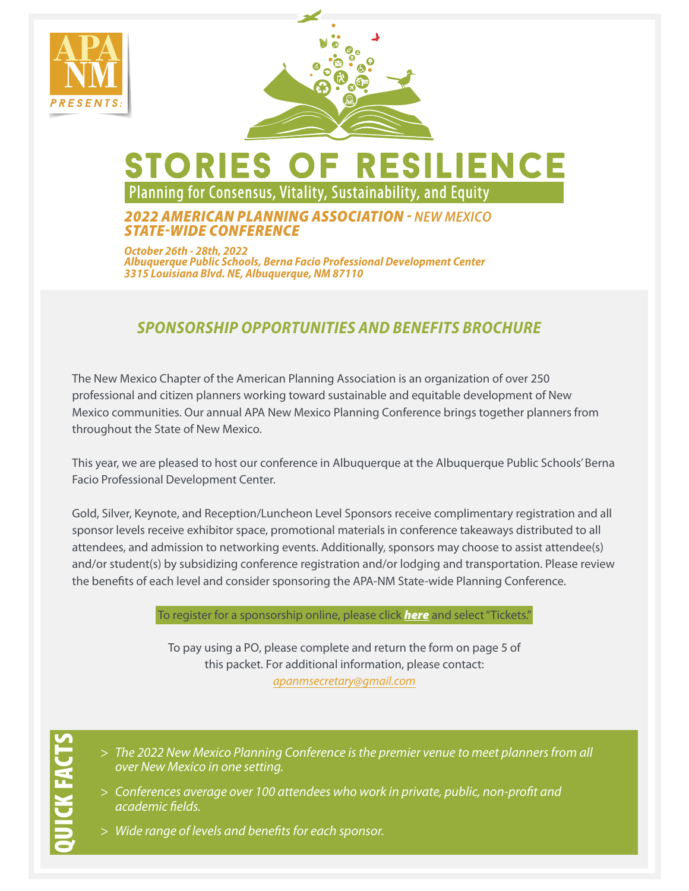



# stories of resilience Planning for Consensus, Vitality, Sustainability, and Equity

### *2022 AMERICAN PLANNING ASSOCIATION - NEW MEXICO STATE-WIDE CONFERENCE*

*October 26th - 28th, 2022* **Albuquerque Public Schools, Berna Facio Professional Development Center 3315 Louisiana Blvd. NE,** *Albuquerque, NM* **87110**

### *SPONSORSHIP OPPORTUNITIES AND BENEFITS BROCHURE*

The New Mexico Chapter of the American Planning Association is an organization of over 250 professional and citizen planners working toward sustainable and equitable development of New Mexico communities. Our annual APA New Mexico Planning Conference brings together planners from throughout the State of New Mexico.

This year, we are pleased to host our conference in Albuquerque at the Albuquerque Public Schools' Berna Facio Professional Development Center.

Gold, Silver, Keynote, and Reception/Luncheon Level Sponsors receive complimentary registration and all sponsor levels receive exhibitor space, promotional materials in conference takeaways distributed to all attendees, and admission to networking events. Additionally, sponsors may choose to assist attendee(s) and/or student(s) by subsidizing conference registration and/or lodging and transportation. Please review the benefits of each level and consider sponsoring the APA-NM State-wide Planning Conference.

To register for a sponsorship online, please click *[here](https://www.eventbrite.com/e/sponsors-stories-of-resilience-2022-apa-nm-state-wide-conference-tickets-311554446737?a%EF%BF%BD=Sponsorship)* and select "Tickets."

To pay using a PO, please complete and return the form on page 5 of this packet. For additional information, please contact: *apanmsecretary@gmail.com*

- > *The 2022 New Mexico Planning Conference is the premier venue to meet planners from all over New Mexico in one setting.*
- > *Conferences average over 100 attendees who work in private, public, non-profit and academic fields.*
- > *Wide range of levels and benefits for each sponsor.*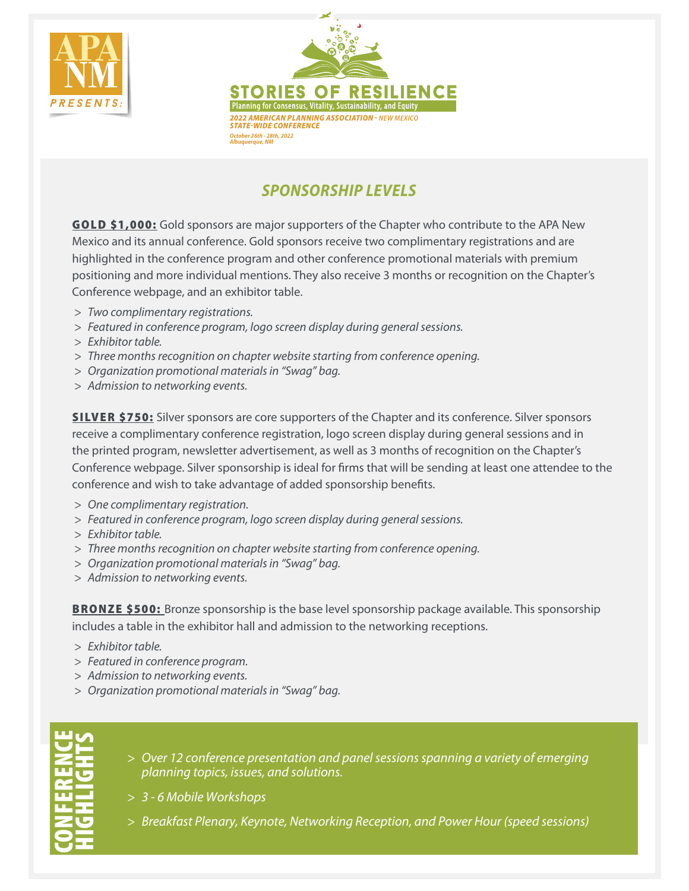



## *SPONSORSHIP LEVELS*

GOLD \$1,000: Gold sponsors are major supporters of the Chapter who contribute to the APA New Mexico and its annual conference. Gold sponsors receive two complimentary registrations and are highlighted in the conference program and other conference promotional materials with premium positioning and more individual mentions. They also receive 3 months or recognition on the Chapter's Conference webpage, and an exhibitor table.

- > *Two complimentary registrations.*
- > *Featured in conference program, logo screen display during general sessions.*
- > *Exhibitor table.*
- > *Three months recognition on chapter website starting from conference opening.*
- > *Organization promotional materials in "Swag" bag.*
- > *Admission to networking events.*

**SILVER \$750:** Silver sponsors are core supporters of the Chapter and its conference. Silver sponsors receive a complimentary conference registration, logo screen display during general sessions and in the printed program, newsletter advertisement, as well as 3 months of recognition on the Chapter's Conference webpage. Silver sponsorship is ideal for firms that will be sending at least one attendee to the conference and wish to take advantage of added sponsorship benefits.

- > *One complimentary registration.*
- > *Featured in conference program, logo screen display during general sessions.*
- > *Exhibitor table.*
- > *Three months recognition on chapter website starting from conference opening.*
- > *Organization promotional materials in "Swag" bag.*
- > *Admission to networking events.*

**BRONZE \$500:** Bronze sponsorship is the base level sponsorship package available. This sponsorship includes a table in the exhibitor hall and admission to the networking receptions.

- > *Exhibitor table.*
- > *Featured in conference program.*
- > *Admission to networking events.*
- > *Organization promotional materials in "Swag" bag.*

CONFERENCE HIGHLIGHTS

- > *Over 1*2 *conference presentation and panel sessions spanning a variety of emerging planning topics, issues, and solutions.*
- > *3 6 Mobile Workshops*
- > *Breakfast Plenary, Keynote, Networking Reception*, *and Power Hour* (speed sessions)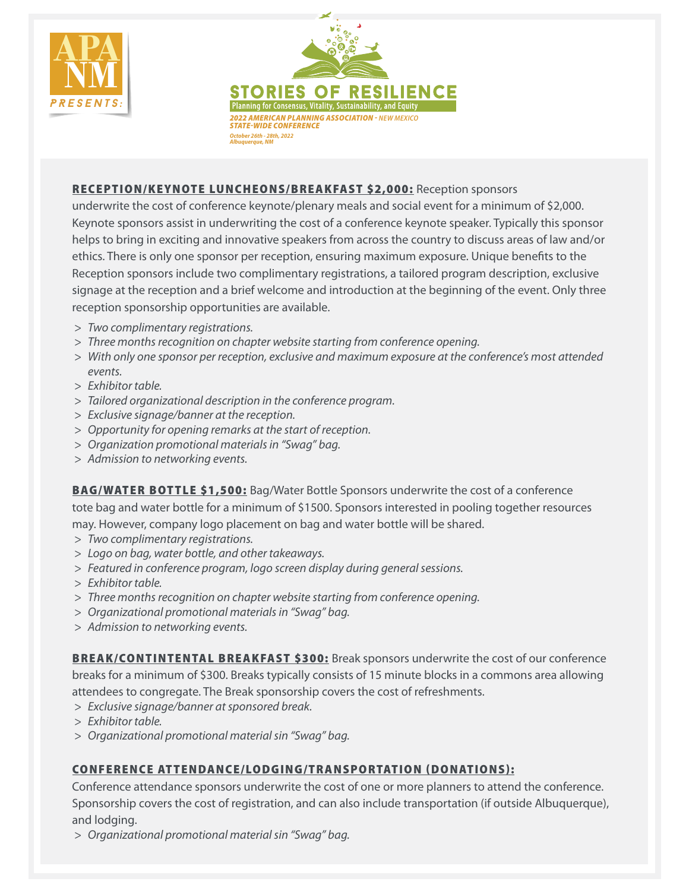



#### RECEPTION/KEYNOTE LUNCHEONS/BREAKFAST \$2,000: Reception sponsors

underwrite the cost of conference keynote/plenary meals and social event for a minimum of \$2,000. Keynote sponsors assist in underwriting the cost of a conference keynote speaker. Typically this sponsor helps to bring in exciting and innovative speakers from across the country to discuss areas of law and/or ethics. There is only one sponsor per reception, ensuring maximum exposure. Unique benefits to the Reception sponsors include two complimentary registrations, a tailored program description, exclusive signage at the reception and a brief welcome and introduction at the beginning of the event. Only three reception sponsorship opportunities are available.

- > *Two complimentary registrations.*
- > *Three months recognition on chapter website starting from conference opening.*
- > *With only one sponsor per reception, exclusive and maximum exposure at the conference's most attended events.*
- > *Exhibitor table.*
- > *Tailored organizational description in the conference program.*
- > *Exclusive signage/banner at the reception.*
- > *Opportunity for opening remarks at the start of reception.*
- > *Organization promotional materials in "Swag" bag.*
- > *Admission to networking events.*

**BAG/WATER BOTTLE \$1,500:** Bag/Water Bottle Sponsors underwrite the cost of a conference tote bag and water bottle for a minimum of \$1500. Sponsors interested in pooling together resources may. However, company logo placement on bag and water bottle will be shared.

- > *Two complimentary registrations.*
- > *Logo on bag, water bottle, and other takeaways.*
- > *Featured in conference program, logo screen display during general sessions.*
- > *Exhibitor table.*
- > *Three months recognition on chapter website starting from conference opening.*
- > *Organizational promotional materials in "Swag" bag.*
- > *Admission to networking events.*

**BREAK/CONTINTENTAL BREAKFAST \$300:** Break sponsors underwrite the cost of our conference breaks for a minimum of \$300. Breaks typically consists of 15 minute blocks in a commons area allowing attendees to congregate. The Break sponsorship covers the cost of refreshments.

- > *Exclusive signage/banner at sponsored break.*
- > *Exhibitor table.*
- > *Organizational promotional material sin "Swag" bag.*

#### CONFERENCE ATTENDANCE/LODGING/TRANSPORTATION (DONATIONS):

Conference attendance sponsors underwrite the cost of one or more planners to attend the conference. Sponsorship covers the cost of registration, and can also include transportation (if outside Albuquerque), and lodging.

> *Organizational promotional material sin "Swag" bag.*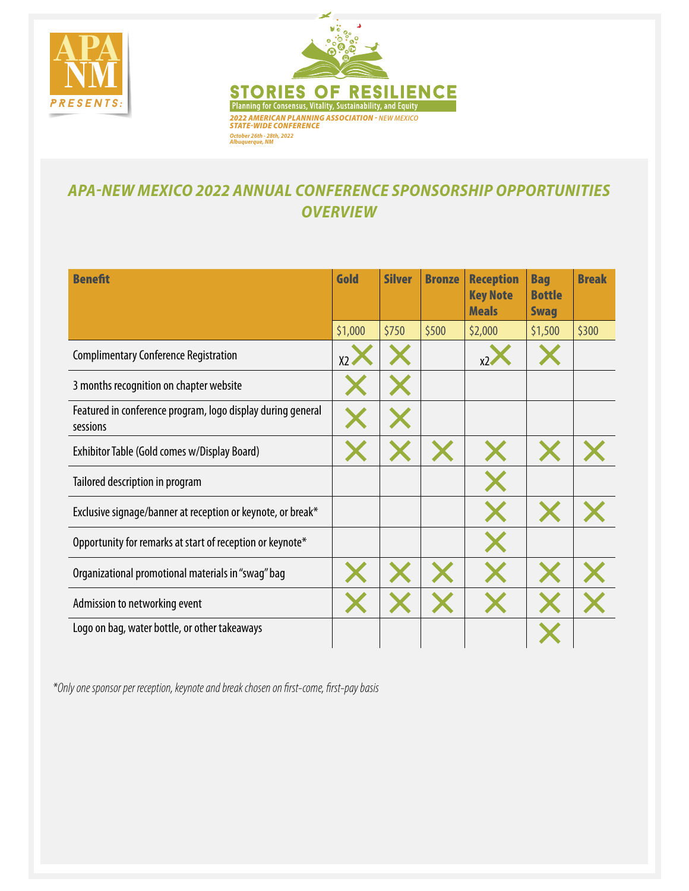



### *APA-NEW MEXICO 2022 ANNUAL CONFERENCE SPONSORSHIP OPPORTUNITIES OVERVIEW*

| <b>Benefit</b>                                                          | Gold    | <b>Silver</b> | <b>Bronze</b> | <b>Reception</b><br><b>Key Note</b><br><b>Meals</b> | <b>Bag</b><br><b>Bottle</b><br><b>Swag</b> | <b>Break</b> |
|-------------------------------------------------------------------------|---------|---------------|---------------|-----------------------------------------------------|--------------------------------------------|--------------|
|                                                                         | \$1,000 | \$750         | \$500         | \$2,000                                             | \$1,500                                    | \$300        |
| <b>Complimentary Conference Registration</b>                            | X2      |               |               | х2                                                  |                                            |              |
| 3 months recognition on chapter website                                 |         |               |               |                                                     |                                            |              |
| Featured in conference program, logo display during general<br>sessions |         |               |               |                                                     |                                            |              |
| Exhibitor Table (Gold comes w/Display Board)                            |         |               |               |                                                     |                                            |              |
| Tailored description in program                                         |         |               |               |                                                     |                                            |              |
| Exclusive signage/banner at reception or keynote, or break*             |         |               |               |                                                     |                                            |              |
| Opportunity for remarks at start of reception or keynote*               |         |               |               |                                                     |                                            |              |
| Organizational promotional materials in "swag" bag                      |         |               |               |                                                     |                                            |              |
| Admission to networking event                                           |         |               |               |                                                     |                                            |              |
| Logo on bag, water bottle, or other takeaways                           |         |               |               |                                                     |                                            |              |

*\*Only one sponsor per reception, keynote and break chosen on first-come, first-pay basis*